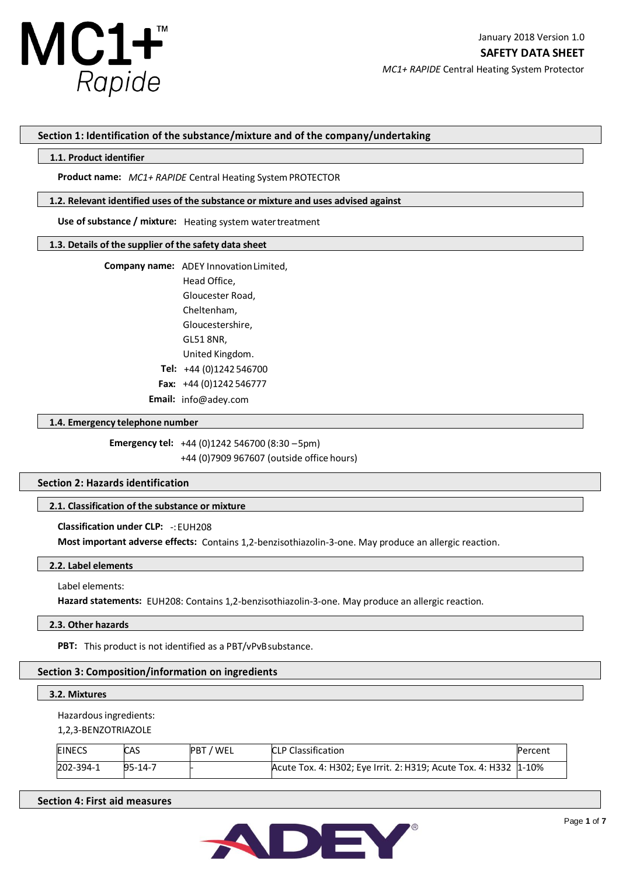

## **Section 1: Identification of the substance/mixture and of the company/undertaking**

### **1.1. Product identifier**

Product name: MC1+ RAPIDE Central Heating System PROTECTOR

## **1.2. Relevant identified uses of the substance or mixture and uses advised against**

Use of substance / mixture: Heating system water treatment

### **1.3. Details of the supplier of the safety data sheet**

**Company name:** ADEY Innovation Limited,

Head Office, Gloucester Road, Cheltenham, Gloucestershire, GL51 8NR, United Kingdom. **Tel:** +44 (0)1242 546700  **Fax:** +44 (0)1242 546777 **Email:** info@adey.com

## **1.4. Emergency telephone number**

**Emergency tel:** +44 (0)1242 546700 (8:30 –5pm) +44 (0)7909 967607 (outside office hours)

# **Section 2: Hazards identification**

# **2.1. Classification of the substance or mixture**

**Classification under CLP:** -:EUH208

**Most important adverse effects:** Contains 1,2-benzisothiazolin-3-one. May produce an allergic reaction.

## **2.2. Label elements**

Label elements:

**Hazard statements:** EUH208: Contains 1,2-benzisothiazolin-3-one. May produce an allergic reaction.

#### **2.3. Other hazards**

**PBT:** This product is not identified as a PBT/vPvBsubstance.

# **Section 3: Composition/information on ingredients**

## **3.2. Mixtures**

Hazardous ingredients:

1,2,3-BENZOTRIAZOLE

| <b>EINECS</b> | CAS     | 7 WEL<br><b>PBT</b> | <b>CLP Classification</b>                                        | Percent |
|---------------|---------|---------------------|------------------------------------------------------------------|---------|
| 202-394-1     | 95-14-7 |                     | Acute Tox. 4: H302; Eye Irrit. 2: H319; Acute Tox. 4: H332 1-10% |         |

# **Section 4: First aid measures**

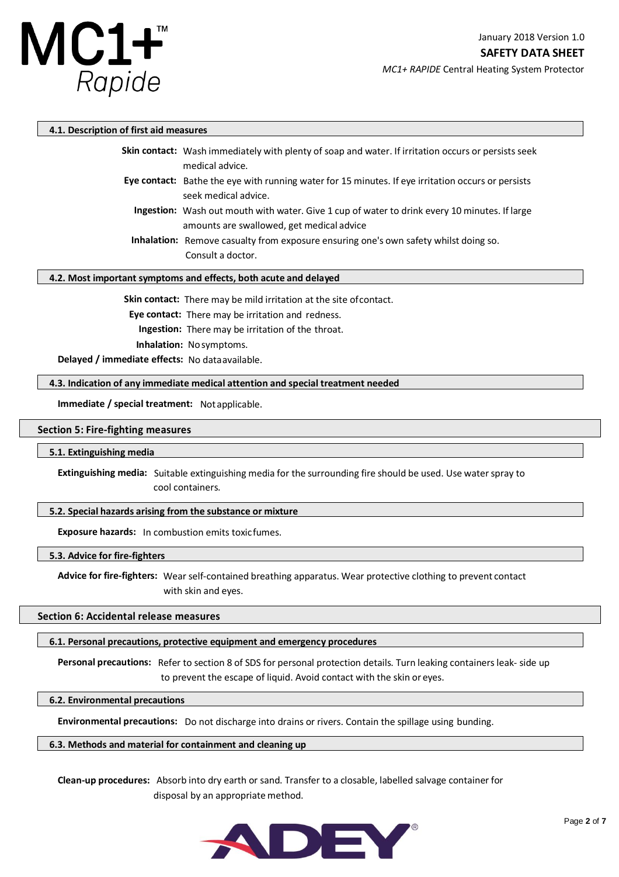

*MC1+ RAPIDE* Central Heating System Protector

## **4.1. Description of first aid measures**

| <b>Skin contact:</b> Wash immediately with plenty of soap and water. If irritation occurs or persists seek<br>medical advice.                     |
|---------------------------------------------------------------------------------------------------------------------------------------------------|
| Eye contact: Bathe the eye with running water for 15 minutes. If eye irritation occurs or persists<br>seek medical advice.                        |
| <b>Ingestion:</b> Wash out mouth with water. Give 1 cup of water to drink every 10 minutes. If large<br>amounts are swallowed, get medical advice |
| <b>Inhalation:</b> Remove casualty from exposure ensuring one's own safety whilst doing so.<br>Consult a doctor.                                  |

## **4.2. Most important symptoms and effects, both acute and delayed**

**Skin contact:** There may be mild irritation at the site ofcontact.

 **Eye contact:** There may be irritation and redness.

**Ingestion:** There may be irritation of the throat.

 **Inhalation:** Nosymptoms.

**Delayed / immediate effects:** No dataavailable.

## **4.3. Indication of any immediate medical attention and special treatment needed**

**Immediate / special treatment:** Notapplicable.

## **Section 5: Fire-fighting measures**

#### **5.1. Extinguishing media**

**Extinguishing media:** Suitable extinguishing media for the surrounding fire should be used. Use waterspray to cool containers.

## **5.2. Special hazards arising from the substance or mixture**

**Exposure hazards:** In combustion emits toxicfumes.

## **5.3. Advice for fire-fighters**

**Advice for fire-fighters:** Wear self-contained breathing apparatus. Wear protective clothing to prevent contact with skin and eyes.

## **Section 6: Accidental release measures**

## **6.1. Personal precautions, protective equipment and emergency procedures**

**Personal precautions:** Refer to section 8 of SDS for personal protection details. Turn leaking containersleak- side up to prevent the escape of liquid. Avoid contact with the skin or eyes.

## **6.2. Environmental precautions**

**Environmental precautions:** Do not discharge into drains or rivers. Contain the spillage using bunding.

## **6.3. Methods and material for containment and cleaning up**

**Clean-up procedures:** Absorb into dry earth or sand. Transfer to a closable, labelled salvage container for disposal by an appropriate method.

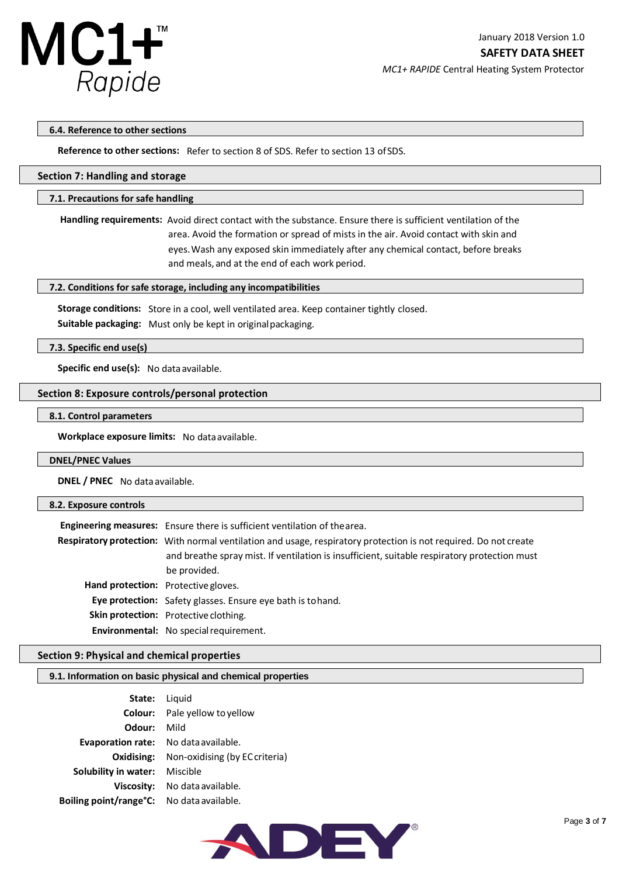

*MC1+ RAPIDE* Central Heating System Protector

## **6.4. Reference to other sections**

**Reference to other sections:** Refer to section 8 of SDS. Refer to section 13 ofSDS.

## **Section 7: Handling and storage**

## **7.1. Precautions for safe handling**

**Handling requirements:** Avoid direct contact with the substance. Ensure there is sufficient ventilation of the area. Avoid the formation or spread of mists in the air. Avoid contact with skin and eyes.Wash any exposed skin immediately after any chemical contact, before breaks and meals, and at the end of each work period.

## **7.2. Conditions for safe storage, including any incompatibilities**

**Storage conditions:** Store in a cool, well ventilated area. Keep container tightly closed.

**Suitable packaging:** Must only be kept in originalpackaging.

## **7.3. Specific end use(s)**

**Specific end use(s):** No data available.

### **Section 8: Exposure controls/personal protection**

#### **8.1. Control parameters**

**Workplace exposure limits:** No dataavailable.

#### **DNEL/PNEC Values**

**DNEL / PNEC** No data available.

## **8.2. Exposure controls**

| Engineering measures: Ensure there is sufficient ventilation of the area.                                                                                                                                                        |  |  |  |
|----------------------------------------------------------------------------------------------------------------------------------------------------------------------------------------------------------------------------------|--|--|--|
| Respiratory protection: With normal ventilation and usage, respiratory protection is not required. Do not create<br>and breathe spray mist. If ventilation is insufficient, suitable respiratory protection must<br>be provided. |  |  |  |
| Hand protection: Protective gloves.                                                                                                                                                                                              |  |  |  |
| <b>Eye protection:</b> Safety glasses. Ensure eye bath is to hand.                                                                                                                                                               |  |  |  |
| <b>Skin protection:</b> Protective clothing.                                                                                                                                                                                     |  |  |  |
| Environmental: No special requirement.                                                                                                                                                                                           |  |  |  |

## **Section 9: Physical and chemical properties**

## **9.1. Information on basic physical and chemical properties**

| State:                   | Liguid                         |
|--------------------------|--------------------------------|
| Colour:                  | Pale yellow to yellow          |
| Odour:                   | Mild                           |
| <b>Evaporation rate:</b> | No data available.             |
| Oxidising:               | Non-oxidising (by EC criteria) |
| Solubility in water:     | Miscible                       |
| <b>Viscosity:</b>        | No data available.             |
| Boiling point/range°C:   | No data available.             |

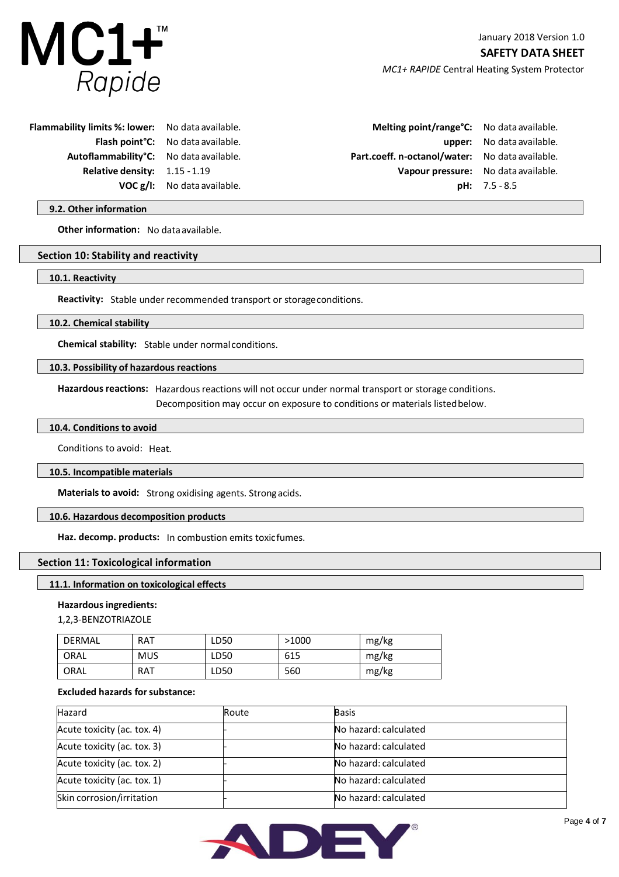

January 2018 Version 1.0 **SAFETY DATA SHEET** *MC1+ RAPIDE* Central Heating System Protector

**Flammability limits %: lower: Flash point°C: Autoflammability°C: Relative density: VOC g/l:**  1.15 -1.19

No dataavailable. No dataavailable. No dataavailable. No dataavailable.

**Melting point/range°C:**  Part.coeff. n-octanol/water: No data available. **Vapour pressure: pH:**  7.5 - 8.5

**upper:**  No dataavailable. No dataavailable. No dataavailable.

## **9.2. Other information**

**Other information:** No data available.

## **Section 10: Stability and reactivity**

**10.1. Reactivity**

**Reactivity:** Stable under recommended transport or storageconditions.

#### **10.2. Chemical stability**

**Chemical stability:** Stable under normalconditions.

## **10.3. Possibility of hazardous reactions**

**Hazardous reactions:** Hazardousreactions will not occur under normal transport or storage conditions.

Decomposition may occur on exposure to conditions or materials listedbelow.

## **10.4. Conditions to avoid**

Conditions to avoid: Heat.

## **10.5. Incompatible materials**

**Materials to avoid:** Strong oxidising agents. Strongacids.

## **10.6. Hazardous decomposition products**

**Haz. decomp. products:** In combustion emits toxicfumes.

## **Section 11: Toxicological information**

## **11.1. Information on toxicological effects**

## **Hazardous ingredients:**

1,2,3-BENZOTRIAZOLE

| DERMAL | <b>RAT</b> | LD50 | >1000 | mg/kg |
|--------|------------|------|-------|-------|
| ORAL   | <b>MUS</b> | LD50 | 615   | mg/kg |
| ORAL   | <b>RAT</b> | LD50 | 560   | mg/kg |

## **Excluded hazards forsubstance:**

| Hazard                      | Route | <b>Basis</b>          |  |
|-----------------------------|-------|-----------------------|--|
| Acute toxicity (ac. tox. 4) |       | No hazard: calculated |  |
| Acute toxicity (ac. tox. 3) |       | No hazard: calculated |  |
| Acute toxicity (ac. tox. 2) |       | No hazard: calculated |  |
| Acute toxicity (ac. tox. 1) |       | No hazard: calculated |  |
| Skin corrosion/irritation   |       | No hazard: calculated |  |

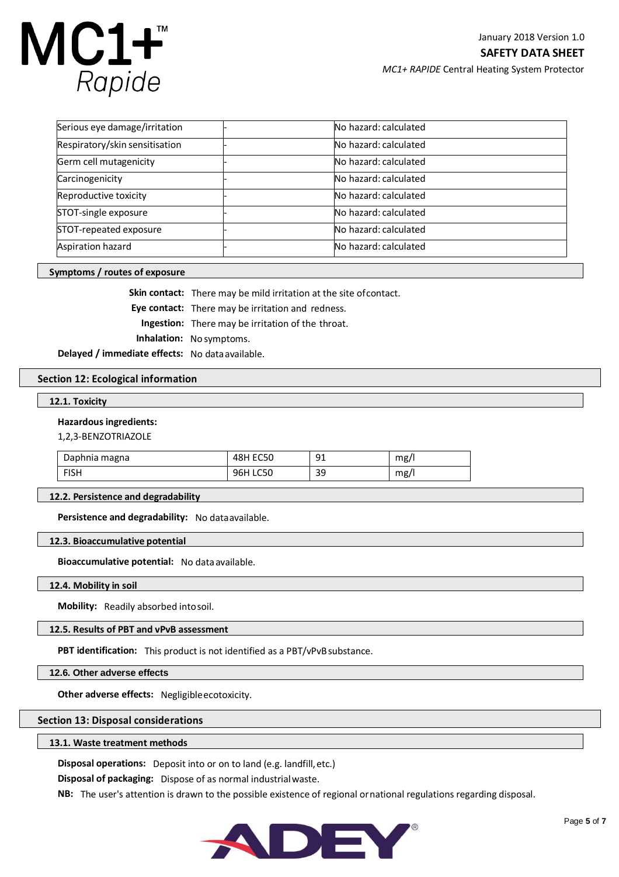

*MC1+ RAPIDE* Central Heating System Protector

| Serious eye damage/irritation  |  | No hazard: calculated |
|--------------------------------|--|-----------------------|
| Respiratory/skin sensitisation |  | No hazard: calculated |
| Germ cell mutagenicity         |  | No hazard: calculated |
| Carcinogenicity                |  | No hazard: calculated |
| Reproductive toxicity          |  | No hazard: calculated |
| STOT-single exposure           |  | No hazard: calculated |
| STOT-repeated exposure         |  | No hazard: calculated |
| Aspiration hazard              |  | No hazard: calculated |

## **Symptoms / routes of exposure**

**Skin contact:** There may be mild irritation at the site of contact. **Eye contact:** There may be irritation and redness. **Ingestion:** There may be irritation of the throat.  **Inhalation:** No symptoms.

**Delayed / immediate effects:** No dataavailable.

#### **Section 12: Ecological information**

## **12.1. Toxicity**

### **Hazardous ingredients:**

1,2,3-BENZOTRIAZOLE

| Daphnia magna | 48H EC50 | 91 | mg/ |
|---------------|----------|----|-----|
| <b>FISH</b>   | 96H LC50 | 39 | mg/ |

### **12.2. Persistence and degradability**

**Persistence and degradability:** No dataavailable.

#### **12.3. Bioaccumulative potential**

**Bioaccumulative potential:** No data available.

## **12.4. Mobility in soil**

**Mobility:** Readily absorbed intosoil.

## **12.5. Results of PBT and vPvB assessment**

**PBT identification:** This product is not identified as a PBT/vPvBsubstance.

**12.6. Other adverse effects**

**Other adverse effects:** Negligibleecotoxicity.

## **Section 13: Disposal considerations**

#### **13.1. Waste treatment methods**

**Disposal operations:** Deposit into or on to land (e.g. landfill,etc.)

**Disposal of packaging:** Dispose of as normal industrialwaste.

**NB:** The user's attention is drawn to the possible existence of regional ornational regulations regarding disposal.

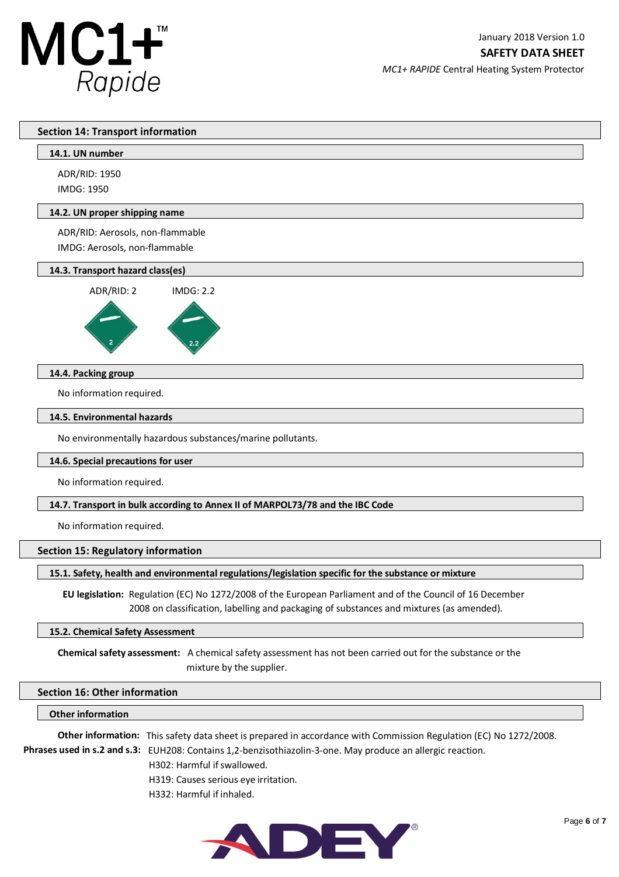

**SAFETY DATA SHEET**

*MC1+ RAPIDE* Central Heating System Protector

## **Section 14: Transport information**

|  | 14.1. UN number |
|--|-----------------|
|  |                 |

ADR/RID: 1950 IMDG: 1950

## **14.2. UN proper shipping name**

ADR/RID: Aerosols, non-flammable IMDG: Aerosols, non-flammable

## **14.3. Transport hazard class(es)**



## **14.4. Packing group**

No information required.

#### **14.5. Environmental hazards**

No environmentally hazardous substances/marine pollutants.

#### **14.6. Special precautions for user**

No information required.

## **14.7. Transport in bulk according to Annex II of MARPOL73/78 and the IBC Code**

No information required.

#### **Section 15: Regulatory information**

## **15.1. Safety, health and environmental regulations/legislation specific for the substance or mixture**

 **EU legislation:** Regulation (EC) No 1272/2008 of the European Parliament and of the Council of 16 December 2008 on classification, labelling and packaging of substances and mixtures (as amended).

#### **15.2. Chemical Safety Assessment**

**Chemical safety assessment:** A chemical safety assessment has not been carried out for the substance or the mixture by the supplier.

## **Section 16: Other information**

## **Other information**

**Other information:** This safety data sheet is prepared in accordance with Commission Regulation (EC) No 1272/2008. **Phrases used in s.2 and s.3:** EUH208: Contains 1,2-benzisothiazolin-3-one. May produce an allergic reaction.

H302: Harmful if swallowed.

H319: Causes serious eye irritation.

H332: Harmful if inhaled.